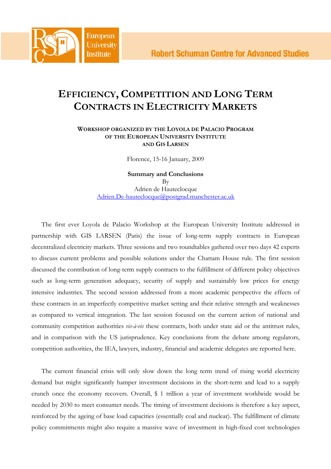## EFFICIENCY, COMPETITION AND LONG TERM CONTRACTS IN ELECTRICITY MARKETS

## WORKSHOP ORGANIZED BY THE LOYOLA DE PALACIO PROGRAM OF THE EUROPEAN UNIVERSITY INSTITUTE AND GIS LARSEN

Florence, 15-16 January, 2009

Summary and Conclusions By Adrien de Hauteclocque Adrien.De-hauteclocque@postgrad.manchester.ac.uk

The first ever Loyola de Palacio Workshop at the European University Institute addressed in partnership with GIS LARSEN (Paris) the issue of long-term supply contracts in European decentralized electricity markets. Three sessions and two roundtables gathered over two days 42 experts to discuss current problems and possible solutions under the Chattam House rule. The first session discussed the contribution of long-term supply contracts to the fulfillment of different policy objectives such as long-term generation adequacy, security of supply and sustainably low prices for energy intensive industries. The second session addressed from a more academic perspective the effects of these contracts in an imperfectly competitive market setting and their relative strength and weaknesses as compared to vertical integration. The last session focused on the current action of national and community competition authorities vis-à-vis these contracts, both under state aid or the antitrust rules, and in comparison with the US jurisprudence. Key conclusions from the debate among regulators, competition authorities, the IEA, lawyers, industry, financial and academic delegates are reported here.

The current financial crisis will only slow down the long term trend of rising world electricity demand but might significantly hamper investment decisions in the short-term and lead to a supply crunch once the economy recovers. Overall, \$ 1 trillion a year of investment worldwide would be needed by 2030 to meet consumer needs. The timing of investment decisions is therefore a key aspect, reinforced by the ageing of base load capacities (essentially coal and nuclear). The fulfillment of climate policy commitments might also require a massive wave of investment in high-fixed cost technologies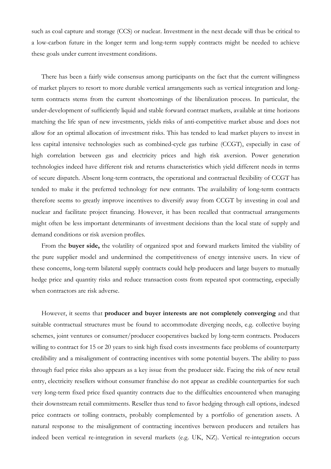such as coal capture and storage (CCS) or nuclear. Investment in the next decade will thus be critical to a low-carbon future in the longer term and long-term supply contracts might be needed to achieve these goals under current investment conditions.

There has been a fairly wide consensus among participants on the fact that the current willingness of market players to resort to more durable vertical arrangements such as vertical integration and longterm contracts stems from the current shortcomings of the liberalization process. In particular, the under-development of sufficiently liquid and stable forward contract markets, available at time horizons matching the life span of new investments, yields risks of anti-competitive market abuse and does not allow for an optimal allocation of investment risks. This has tended to lead market players to invest in less capital intensive technologies such as combined-cycle gas turbine (CCGT), especially in case of high correlation between gas and electricity prices and high risk aversion. Power generation technologies indeed have different risk and returns characteristics which yield different needs in terms of secure dispatch. Absent long-term contracts, the operational and contractual flexibility of CCGT has tended to make it the preferred technology for new entrants. The availability of long-term contracts therefore seems to greatly improve incentives to diversify away from CCGT by investing in coal and nuclear and facilitate project financing. However, it has been recalled that contractual arrangements might often be less important determinants of investment decisions than the local state of supply and demand conditions or risk aversion profiles.

From the buyer side, the volatility of organized spot and forward markets limited the viability of the pure supplier model and undermined the competitiveness of energy intensive users. In view of these concerns, long-term bilateral supply contracts could help producers and large buyers to mutually hedge price and quantity risks and reduce transaction costs from repeated spot contracting, especially when contractors are risk adverse.

However, it seems that producer and buyer interests are not completely converging and that suitable contractual structures must be found to accommodate diverging needs, e.g. collective buying schemes, joint ventures or consumer/producer cooperatives backed by long-term contracts. Producers willing to contract for 15 or 20 years to sink high fixed costs investments face problems of counterparty credibility and a misalignment of contracting incentives with some potential buyers. The ability to pass through fuel price risks also appears as a key issue from the producer side. Facing the risk of new retail entry, electricity resellers without consumer franchise do not appear as credible counterparties for such very long-term fixed price fixed quantity contracts due to the difficulties encountered when managing their downstream retail commitments. Reseller thus tend to favor hedging through call options, indexed price contracts or tolling contracts, probably complemented by a portfolio of generation assets. A natural response to the misalignment of contracting incentives between producers and retailers has indeed been vertical re-integration in several markets (e.g. UK, NZ). Vertical re-integration occurs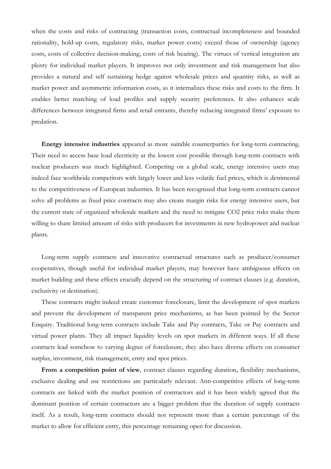when the costs and risks of contracting (transaction costs, contractual incompleteness and bounded rationality, hold-up costs, regulatory risks, market power costs) exceed those of ownership (agency costs, costs of collective decision-making, costs of risk bearing). The virtues of vertical integration are plenty for individual market players. It improves not only investment and risk management but also provides a natural and self sustaining hedge against wholesale prices and quantity risks, as well as market power and asymmetric information costs, as it internalizes these risks and costs to the firm. It enables better matching of load profiles and supply security preferences. It also enhances scale differences between integrated firms and retail entrants, thereby reducing integrated firms' exposure to predation.

Energy intensive industries appeared as more suitable counterparties for long-term contracting. Their need to access base load electricity at the lowest cost possible through long-term contracts with nuclear producers was much highlighted. Competing on a global scale, energy intensive users may indeed face worldwide competitors with largely lower and less volatile fuel prices, which is detrimental to the competitiveness of European industries. It has been recognized that long-term contracts cannot solve all problems as fixed price contracts may also create margin risks for energy intensive users, but the current state of organized wholesale markets and the need to mitigate CO2 price risks make them willing to share limited amount of risks with producers for investments in new hydropower and nuclear plants.

Long-term supply contracts and innovative contractual structures such as producer/consumer cooperatives, though useful for individual market players, may however have ambiguous effects on market building and these effects crucially depend on the structuring of contract clauses (e.g. duration, exclusivity or destination).

These contracts might indeed create customer foreclosure, limit the development of spot markets and prevent the development of transparent price mechanisms, as has been pointed by the Sector Enquiry. Traditional long-term contracts include Take and Pay contracts, Take or Pay contracts and virtual power plants. They all impact liquidity levels on spot markets in different ways. If all these contracts lead somehow to varying degree of foreclosure, they also have diverse effects on consumer surplus, investment, risk management, entry and spot prices.

From a competition point of view, contract clauses regarding duration, flexibility mechanisms, exclusive dealing and use restrictions are particularly relevant. Anti-competitive effects of long-term contracts are linked with the market position of contractors and it has been widely agreed that the dominant position of certain contractors are a bigger problem that the duration of supply contracts itself. As a result, long-term contracts should not represent more than a certain percentage of the market to allow for efficient entry, this percentage remaining open for discussion.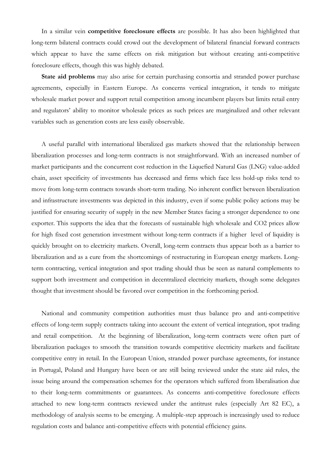In a similar vein competitive foreclosure effects are possible. It has also been highlighted that long-term bilateral contracts could crowd out the development of bilateral financial forward contracts which appear to have the same effects on risk mitigation but without creating anti-competitive foreclosure effects, though this was highly debated.

State aid problems may also arise for certain purchasing consortia and stranded power purchase agreements, especially in Eastern Europe. As concerns vertical integration, it tends to mitigate wholesale market power and support retail competition among incumbent players but limits retail entry and regulators' ability to monitor wholesale prices as such prices are marginalized and other relevant variables such as generation costs are less easily observable.

A useful parallel with international liberalized gas markets showed that the relationship between liberalization processes and long-term contracts is not straightforward. With an increased number of market participants and the concurrent cost reduction in the Liquefied Natural Gas (LNG) value-added chain, asset specificity of investments has decreased and firms which face less hold-up risks tend to move from long-term contracts towards short-term trading. No inherent conflict between liberalization and infrastructure investments was depicted in this industry, even if some public policy actions may be justified for ensuring security of supply in the new Member States facing a stronger dependence to one exporter. This supports the idea that the forecasts of sustainable high wholesale and CO2 prices allow for high fixed cost generation investment without long-term contracts if a higher level of liquidity is quickly brought on to electricity markets. Overall, long-term contracts thus appear both as a barrier to liberalization and as a cure from the shortcomings of restructuring in European energy markets. Longterm contracting, vertical integration and spot trading should thus be seen as natural complements to support both investment and competition in decentralized electricity markets, though some delegates thought that investment should be favored over competition in the forthcoming period.

National and community competition authorities must thus balance pro and anti-competitive effects of long-term supply contracts taking into account the extent of vertical integration, spot trading and retail competition. At the beginning of liberalization, long-term contracts were often part of liberalization packages to smooth the transition towards competitive electricity markets and facilitate competitive entry in retail. In the European Union, stranded power purchase agreements, for instance in Portugal, Poland and Hungary have been or are still being reviewed under the state aid rules, the issue being around the compensation schemes for the operators which suffered from liberalisation due to their long-term commitments or guarantees. As concerns anti-competitive foreclosure effects attached to new long-term contracts reviewed under the antitrust rules (especially Art 82 EC), a methodology of analysis seems to be emerging. A multiple-step approach is increasingly used to reduce regulation costs and balance anti-competitive effects with potential efficiency gains.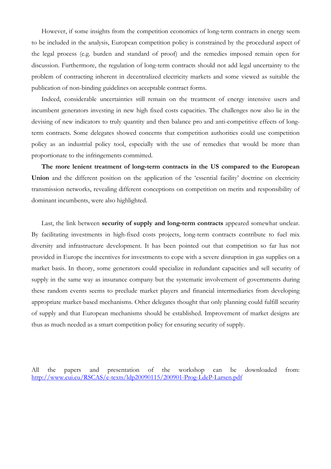However, if some insights from the competition economics of long-term contracts in energy seem to be included in the analysis, European competition policy is constrained by the procedural aspect of the legal process (e.g. burden and standard of proof) and the remedies imposed remain open for discussion. Furthermore, the regulation of long-term contracts should not add legal uncertainty to the problem of contracting inherent in decentralized electricity markets and some viewed as suitable the publication of non-binding guidelines on acceptable contract forms.

Indeed, considerable uncertainties still remain on the treatment of energy intensive users and incumbent generators investing in new high fixed costs capacities. The challenges now also lie in the devising of new indicators to truly quantity and then balance pro and anti-competitive effects of longterm contracts. Some delegates showed concerns that competition authorities could use competition policy as an industrial policy tool, especially with the use of remedies that would be more than proportionate to the infringements committed.

The more lenient treatment of long-term contracts in the US compared to the European Union and the different position on the application of the 'essential facility' doctrine on electricity transmission networks, revealing different conceptions on competition on merits and responsibility of dominant incumbents, were also highlighted.

Last, the link between **security of supply and long-term contracts** appeared somewhat unclear. By facilitating investments in high-fixed costs projects, long-term contracts contribute to fuel mix diversity and infrastructure development. It has been pointed out that competition so far has not provided in Europe the incentives for investments to cope with a severe disruption in gas supplies on a market basis. In theory, some generators could specialize in redundant capacities and sell security of supply in the same way as insurance company but the systematic involvement of governments during these random events seems to preclude market players and financial intermediaries from developing appropriate market-based mechanisms. Other delegates thought that only planning could fulfill security of supply and that European mechanisms should be established. Improvement of market designs are thus as much needed as a smart competition policy for ensuring security of supply.

All the papers and presentation of the workshop can be downloaded from: http://www.eui.eu/RSCAS/e-texts/ldp20090115/200901-Prog-LdeP-Larsen.pdf